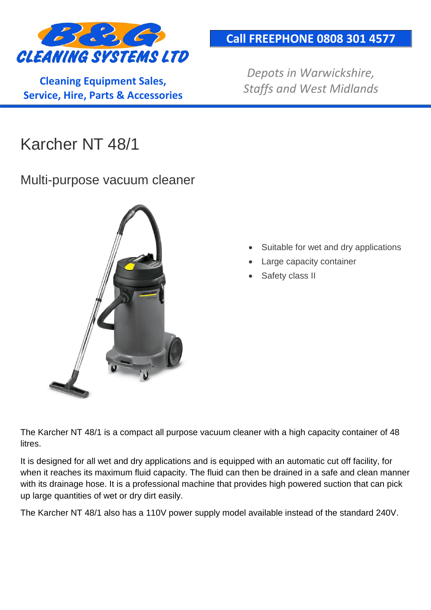

**Cleaning Equipment Sales, Service, Hire, Parts & Accessories**

### **Call FREEPHONE 0808 301 4577**

*Depots in Warwickshire, Staffs and West Midlands*

# Karcher NT 48/1

#### Multi-purpose vacuum cleaner



- Suitable for wet and dry applications
- **Large capacity container**
- Safety class II

The Karcher NT 48/1 is a compact all purpose vacuum cleaner with a high capacity container of 48 litres.

It is designed for all wet and dry applications and is equipped with an automatic cut off facility, for when it reaches its maximum fluid capacity. The fluid can then be drained in a safe and clean manner with its drainage hose. It is a professional machine that provides high powered suction that can pick up large quantities of wet or dry dirt easily.

The Karcher NT 48/1 also has a 110V power supply model available instead of the standard 240V.